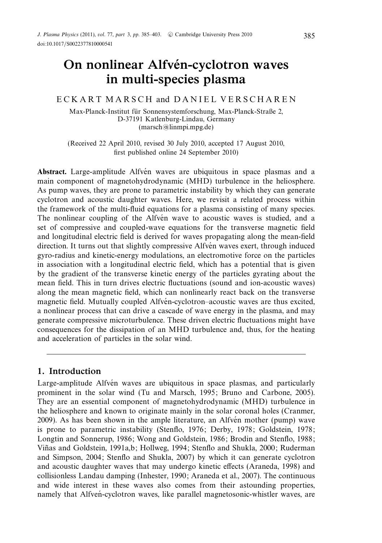# *On nonlinear Alfven-cyclotron waves ´ in multi-species plasma*

# E C K A R T M A R S C H and D A N I E L V E R S C H A R E N

Max-Planck-Institut für Sonnensystemforschung, Max-Planck-Straße 2. D-37191 Katlenburg-Lindau, Germany (marsch@linmpi.mpg.de)

(Received 22 April 2010, revised 30 July 2010, accepted 17 August 2010, first published online 24 September 2010)

Abstract. Large-amplitude Alfvén waves are ubiquitous in space plasmas and a main component of magnetohydrodynamic (MHD) turbulence in the heliosphere. As pump waves, they are prone to parametric instability by which they can generate cyclotron and acoustic daughter waves. Here, we revisit a related process within the framework of the multi-fluid equations for a plasma consisting of many species. The nonlinear coupling of the Alfvén wave to acoustic waves is studied, and a set of compressive and coupled-wave equations for the transverse magnetic field and longitudinal electric field is derived for waves propagating along the mean-field direction. It turns out that slightly compressive Alfven waves exert, through induced ´ gyro-radius and kinetic-energy modulations, an electromotive force on the particles in association with a longitudinal electric field, which has a potential that is given by the gradient of the transverse kinetic energy of the particles gyrating about the mean field. This in turn drives electric fluctuations (sound and ion-acoustic waves) along the mean magnetic field, which can nonlinearly react back on the transverse magnetic field. Mutually coupled Alfvén-cyclotron–acoustic waves are thus excited, a nonlinear process that can drive a cascade of wave energy in the plasma, and may generate compressive microturbulence. These driven electric fluctuations might have consequences for the dissipation of an MHD turbulence and, thus, for the heating and acceleration of particles in the solar wind.

# *1. Introduction*

Large-amplitude Alfvén waves are ubiquitous in space plasmas, and particularly prominent in the solar wind (Tu and Marsch, 1995; Bruno and Carbone, 2005). They are an essential component of magnetohydrodynamic (MHD) turbulence in the heliosphere and known to originate mainly in the solar coronal holes (Cranmer, 2009). As has been shown in the ample literature, an Alfvén mother (pump) wave is prone to parametric instability (Stenflo, 1976; Derby, 1978; Goldstein, 1978; Longtin and Sonnerup, 1986; Wong and Goldstein, 1986; Brodin and Stenflo, 1988; Vinas and Goldstein, 1991a,b; Hollweg, 1994; Stenflo and Shukla, 2000; Ruderman ˜ and Simpson, 2004; Stenflo and Shukla, 2007) by which it can generate cyclotron and acoustic daughter waves that may undergo kinetic effects (Araneda, 1998) and collisionless Landau damping (Inhester, 1990; Araneda et al., 2007). The continuous and wide interest in these waves also comes from their astounding properties, namely that Alfven-cyclotron waves, like parallel magnetosonic-whistler waves, are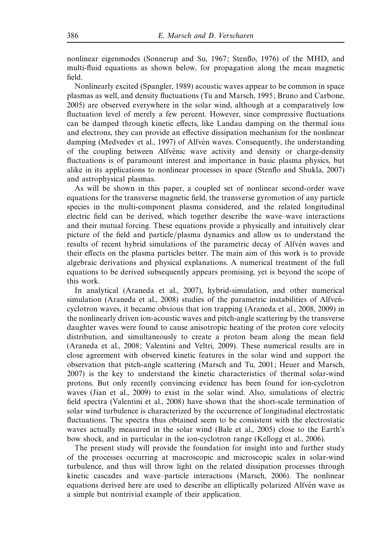nonlinear eigenmodes (Sonnerup and Su, 1967; Stenflo, 1976) of the MHD, and multi-fluid equations as shown below, for propagation along the mean magnetic field.

Nonlinearly excited (Spangler, 1989) acoustic waves appear to be common in space plasmas as well, and density fluctuations (Tu and Marsch, 1995; Bruno and Carbone, 2005) are observed everywhere in the solar wind, although at a comparatively low fluctuation level of merely a few percent. However, since compressive fluctuations can be damped through kinetic effects, like Landau damping on the thermal ions and electrons, they can provide an effective dissipation mechanism for the nonlinear damping (Medvedev et al., 1997) of Alfvén waves. Consequently, the understanding of the coupling between Alfvénic wave activity and density or charge-density fluctuations is of paramount interest and importance in basic plasma physics, but alike in its applications to nonlinear processes in space (Stenflo and Shukla, 2007) and astrophysical plasmas.

As will be shown in this paper, a coupled set of nonlinear second-order wave equations for the transverse magnetic field, the transverse gyromotion of any particle species in the multi-component plasma considered, and the related longitudinal electric field can be derived, which together describe the wave–wave interactions and their mutual forcing. These equations provide a physically and intuitively clear picture of the field and particle/plasma dynamics and allow us to understand the results of recent hybrid simulations of the parametric decay of Alfven waves and their effects on the plasma particles better. The main aim of this work is to provide algebraic derivations and physical explanations. A numerical treatment of the full equations to be derived subsequently appears promising, yet is beyond the scope of this work.

In analytical (Araneda et al., 2007), hybrid-simulation, and other numerical simulation (Araneda et al., 2008) studies of the parametric instabilities of Alfvencyclotron waves, it became obvious that ion trapping (Araneda et al., 2008, 2009) in the nonlinearly driven ion-acoustic waves and pitch-angle scattering by the transverse daughter waves were found to cause anisotropic heating of the proton core velocity distribution, and simultaneously to create a proton beam along the mean field (Araneda et al., 2008; Valentini and Veltri, 2009). These numerical results are in close agreement with observed kinetic features in the solar wind and support the observation that pitch-angle scattering (Marsch and Tu, 2001; Heuer and Marsch, 2007) is the key to understand the kinetic characteristics of thermal solar-wind protons. But only recently convincing evidence has been found for ion-cyclotron waves (Jian et al., 2009) to exist in the solar wind. Also, simulations of electric field spectra (Valentini et al., 2008) have shown that the short-scale termination of solar wind turbulence is characterized by the occurrence of longitudinal electrostatic fluctuations. The spectra thus obtained seem to be consistent with the electrostatic waves actually measured in the solar wind (Bale et al., 2005) close to the Earth's bow shock, and in particular in the ion-cyclotron range (Kellogg et al., 2006).

The present study will provide the foundation for insight into and further study of the processes occurring at macroscopic and microscopic scales in solar-wind turbulence, and thus will throw light on the related dissipation processes through kinetic cascades and wave–particle interactions (Marsch, 2006). The nonlinear equations derived here are used to describe an elliptically polarized Alfvén wave as a simple but nontrivial example of their application.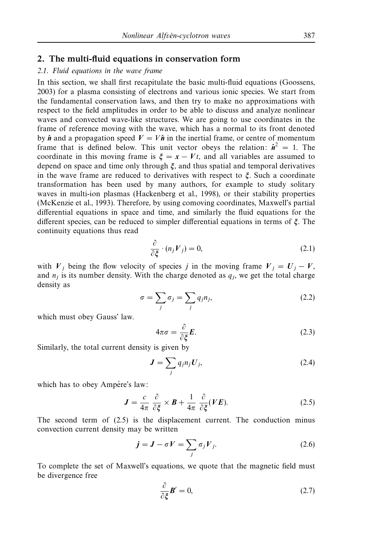# *2. The multi-fluid equations in conservation form*

## 2.1. Fluid equations in the wave frame

In this section, we shall first recapitulate the basic multi-fluid equations (Goossens, 2003) for a plasma consisting of electrons and various ionic species. We start from the fundamental conservation laws, and then try to make no approximations with respect to the field amplitudes in order to be able to discuss and analyze nonlinear waves and convected wave-like structures. We are going to use coordinates in the frame of reference moving with the wave, which has a normal to its front denoted by  $\hat{n}$  and a propagation speed  $V = V \hat{n}$  in the inertial frame, or centre of momentum frame that is defined below. This unit vector obeys the relation:  $\hat{n}^2 = 1$ . The coordinate in this moving frame is  $\xi = x - Vt$ , and all variables are assumed to depend on space and time only through *ξ*, and thus spatial and temporal derivatives in the wave frame are reduced to derivatives with respect to *ξ*. Such a coordinate transformation has been used by many authors, for example to study solitary waves in multi-ion plasmas (Hackenberg et al., 1998), or their stability properties (McKenzie et al., 1993). Therefore, by using comoving coordinates, Maxwell's partial differential equations in space and time, and similarly the fluid equations for the different species, can be reduced to simpler differential equations in terms of *ξ*. The continuity equations thus read

$$
\frac{\partial}{\partial \xi} \cdot (n_j V_j) = 0,\tag{2.1}
$$

with  $V_i$  being the flow velocity of species *j* in the moving frame  $V_i = U_i - V$ , and  $n_j$  is its number density. With the charge denoted as  $q_j$ , we get the total charge density as

$$
\sigma = \sum_{j} \sigma_{j} = \sum_{j} q_{j} n_{j}, \qquad (2.2)
$$

which must obey Gauss' law.

$$
4\pi\sigma = \frac{\partial}{\partial \xi} E. \tag{2.3}
$$

Similarly, the total current density is given by

$$
\mathbf{J} = \sum_{j} q_{j} n_{j} U_{j},\tag{2.4}
$$

which has to obey Ampère's law:

$$
\mathbf{J} = \frac{c}{4\pi} \frac{\partial}{\partial \xi} \times \mathbf{B} + \frac{1}{4\pi} \frac{\partial}{\partial \xi} (\mathbf{V} \mathbf{E}).
$$
 (2.5)

The second term of (2.5) is the displacement current. The conduction minus convection current density may be written

$$
\boldsymbol{j} = \boldsymbol{J} - \sigma \boldsymbol{V} = \sum_{j} \sigma_{j} \boldsymbol{V}_{j}.
$$
 (2.6)

To complete the set of Maxwell's equations, we quote that the magnetic field must be divergence free

$$
\frac{\partial}{\partial \xi} \mathbf{B}' = 0, \tag{2.7}
$$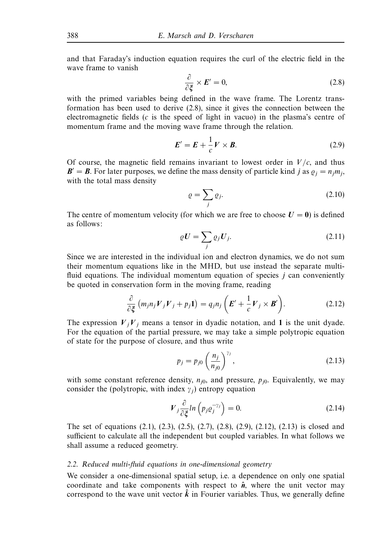and that Faraday's induction equation requires the curl of the electric field in the wave frame to vanish

$$
\frac{\partial}{\partial \xi} \times E' = 0,\tag{2.8}
$$

with the primed variables being defined in the wave frame. The Lorentz transformation has been used to derive (2.8), since it gives the connection between the electromagnetic fields (*c* is the speed of light in vacuo) in the plasma's centre of momentum frame and the moving wave frame through the relation.

$$
E' = E + \frac{1}{c} V \times B. \tag{2.9}
$$

Of course, the magnetic field remains invariant to lowest order in  $V/c$ , and thus  $\bm{B}' = \bm{B}$ . For later purposes, we define the mass density of particle kind *j* as  $\varrho_j = n_j m_j$ , with the total mass density

$$
\varrho = \sum_{j} \varrho_{j}.\tag{2.10}
$$

The centre of momentum velocity (for which we are free to choose  $U = 0$ ) is defined as follows:

$$
\varrho U = \sum_{j} \varrho_{j} U_{j}.
$$
\n(2.11)

Since we are interested in the individual ion and electron dynamics, we do not sum their momentum equations like in the MHD, but use instead the separate multifluid equations. The individual momentum equation of species *j* can conveniently be quoted in conservation form in the moving frame, reading

$$
\frac{\partial}{\partial \xi} \left( m_j n_j V_j V_j + p_j \mathbf{1} \right) = q_j n_j \left( E' + \frac{1}{c} V_j \times B' \right). \tag{2.12}
$$

The expression  $V_j V_j$  means a tensor in dyadic notation, and 1 is the unit dyade. For the equation of the partial pressure, we may take a simple polytropic equation of state for the purpose of closure, and thus write

$$
p_j = p_{j0} \left( \frac{n_j}{n_{j0}} \right)^{\gamma_j}, \tag{2.13}
$$

with some constant reference density,  $n_{i0}$ , and pressure,  $p_{i0}$ . Equivalently, we may consider the (polytropic, with index  $\gamma_i$ ) entropy equation

$$
V_j \frac{\partial}{\partial \xi} ln \left( p_j \varrho_j^{-\gamma_j} \right) = 0. \tag{2.14}
$$

The set of equations (2.1), (2.3), (2.5), (2.7), (2.8), (2.9), (2.12), (2.13) is closed and sufficient to calculate all the independent but coupled variables. In what follows we shall assume a reduced geometry.

### 2.2. Reduced multi-fluid equations in one-dimensional geometry

We consider a one-dimensional spatial setup, i.e. a dependence on only one spatial coordinate and take components with respect to  $\hat{n}$ , where the unit vector may correspond to the wave unit vector  $\hat{k}$  in Fourier variables. Thus, we generally define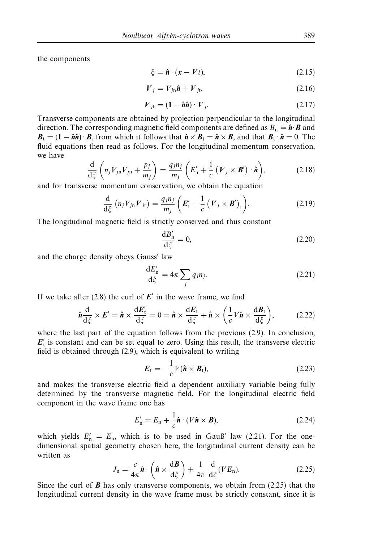the components

$$
\xi = \hat{\boldsymbol{n}} \cdot (\boldsymbol{x} - Vt),\tag{2.15}
$$

$$
V_j = V_{j\mathbf{n}} \hat{\mathbf{n}} + V_{j\mathbf{t}},\tag{2.16}
$$

$$
V_{jt} = (1 - \hat{n}\hat{n}) \cdot V_j. \tag{2.17}
$$

Transverse components are obtained by projection perpendicular to the longitudinal direction. The corresponding magnetic field components are defined as  $B_n = \hat{\boldsymbol{n}} \cdot \boldsymbol{B}$  and  $B_t = (1 - \hat{n}\hat{n}) \cdot B$ , from which it follows that  $\hat{n} \times B_t = \hat{n} \times B$ , and that  $B_t \cdot \hat{n} = 0$ . The fluid equations then read as follows. For the longitudinal momentum conservation, we have

$$
\frac{\mathrm{d}}{\mathrm{d}\xi}\left(n_jV_{j\mathrm{n}}V_{j\mathrm{n}}+\frac{p_j}{m_j}\right)=\frac{q_jn_j}{m_j}\left(E'_{\mathrm{n}}+\frac{1}{c}\left(V_j\times\boldsymbol{B}'\right)\cdot\hat{\boldsymbol{n}}\right),\tag{2.18}
$$

and for transverse momentum conservation, we obtain the equation

$$
\frac{\mathrm{d}}{\mathrm{d}\xi}\left(n_jV_{j\mathrm{n}}V_{j\mathrm{t}}\right) = \frac{q_jn_j}{m_j}\left(E'_\mathrm{t} + \frac{1}{c}\left(V_j \times \boldsymbol{B}'\right)_\mathrm{t}\right). \tag{2.19}
$$

The longitudinal magnetic field is strictly conserved and thus constant

$$
\frac{\mathrm{d}B'_{\mathrm{n}}}{\mathrm{d}\xi} = 0,\tag{2.20}
$$

and the charge density obeys Gauss' law

$$
\frac{\mathrm{d}E'_{\mathrm{n}}}{\mathrm{d}\xi} = 4\pi \sum_{j} q_{j} n_{j}.\tag{2.21}
$$

If we take after  $(2.8)$  the curl of  $E'$  in the wave frame, we find

$$
\hat{\boldsymbol{n}}\frac{\mathrm{d}}{\mathrm{d}\xi} \times \boldsymbol{E}' = \hat{\boldsymbol{n}} \times \frac{\mathrm{d}\boldsymbol{E}'_t}{\mathrm{d}\xi} = 0 = \hat{\boldsymbol{n}} \times \frac{\mathrm{d}\boldsymbol{E}_t}{\mathrm{d}\xi} + \hat{\boldsymbol{n}} \times \left(\frac{1}{c}V\hat{\boldsymbol{n}} \times \frac{\mathrm{d}\boldsymbol{B}_t}{\mathrm{d}\xi}\right),\tag{2.22}
$$

where the last part of the equation follows from the previous (2.9). In conclusion,  $E'_{t}$  is constant and can be set equal to zero. Using this result, the transverse electric field is obtained through (2.9), which is equivalent to writing

$$
E_{t} = -\frac{1}{c}V(\hat{\boldsymbol{n}} \times \boldsymbol{B}_{t}),
$$
\n(2.23)

and makes the transverse electric field a dependent auxiliary variable being fully determined by the transverse magnetic field. For the longitudinal electric field component in the wave frame one has

$$
E'_{n} = E_{n} + \frac{1}{c}\hat{\boldsymbol{n}} \cdot (V\hat{\boldsymbol{n}} \times \boldsymbol{B}), \qquad (2.24)
$$

which yields  $E'_n = E_n$ , which is to be used in Gauß' law (2.21). For the onedimensional spatial geometry chosen here, the longitudinal current density can be written as

$$
J_{\rm n} = \frac{c}{4\pi} \hat{\boldsymbol{n}} \cdot \left( \hat{\boldsymbol{n}} \times \frac{\mathrm{d} \boldsymbol{B}}{\mathrm{d} \xi} \right) + \frac{1}{4\pi} \frac{\mathrm{d}}{\mathrm{d} \xi} (V E_{\rm n}). \tag{2.25}
$$

Since the curl of *B* has only transverse components, we obtain from (2.25) that the longitudinal current density in the wave frame must be strictly constant, since it is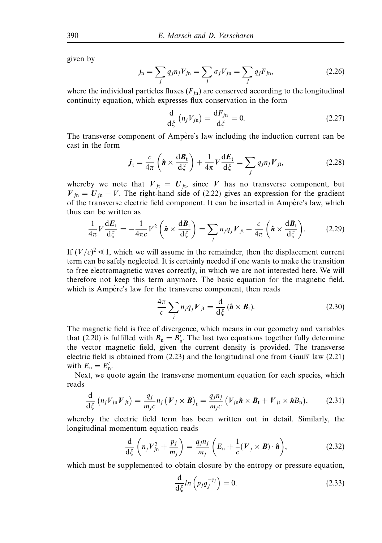given by

$$
j_{\rm n} = \sum_{j} q_{j} n_{j} V_{j{\rm n}} = \sum_{j} \sigma_{j} V_{j{\rm n}} = \sum_{j} q_{j} F_{j{\rm n}}, \qquad (2.26)
$$

where the individual particles fluxes  $(F_{in})$  are conserved according to the longitudinal continuity equation, which expresses flux conservation in the form

$$
\frac{\mathrm{d}}{\mathrm{d}\xi} \left( n_j V_{j\mathrm{n}} \right) = \frac{\mathrm{d}F_{j\mathrm{n}}}{\mathrm{d}\xi} = 0. \tag{2.27}
$$

The transverse component of Ampère's law including the induction current can be cast in the form

$$
\boldsymbol{j}_{\mathrm{t}} = \frac{c}{4\pi} \left( \hat{\boldsymbol{n}} \times \frac{\mathrm{d} \boldsymbol{B}_{\mathrm{t}}}{\mathrm{d} \xi} \right) + \frac{1}{4\pi} V \frac{\mathrm{d} \boldsymbol{E}_{\mathrm{t}}}{\mathrm{d} \xi} = \sum_{j} q_{j} n_{j} V_{j\mathrm{t}}, \qquad (2.28)
$$

whereby we note that  $V_{it} = U_{it}$ , since *V* has no transverse component, but  $V_{in} = U_{in} - V$ . The right-hand side of (2.22) gives an expression for the gradient of the transverse electric field component. It can be inserted in Ampere's law, which ` thus can be written as

$$
\frac{1}{4\pi}V\frac{\mathrm{d}E_{\mathrm{t}}}{\mathrm{d}\xi} = -\frac{1}{4\pi c}V^2\left(\hat{\boldsymbol{n}}\times\frac{\mathrm{d}\boldsymbol{B}_{\mathrm{t}}}{\mathrm{d}\xi}\right) = \sum_j n_j q_j V_{j\mathrm{t}} - \frac{c}{4\pi}\left(\hat{\boldsymbol{n}}\times\frac{\mathrm{d}\boldsymbol{B}_{\mathrm{t}}}{\mathrm{d}\xi}\right). \tag{2.29}
$$

If  $(V/c)^2 \ll 1$ , which we will assume in the remainder, then the displacement current term can be safely neglected. It is certainly needed if one wants to make the transition to free electromagnetic waves correctly, in which we are not interested here. We will therefore not keep this term anymore. The basic equation for the magnetic field, which is Ampère's law for the transverse component, then reads

$$
\frac{4\pi}{c}\sum_{j} n_{j}q_{j}V_{jt} = \frac{\mathrm{d}}{\mathrm{d}\xi} (\hat{\boldsymbol{n}} \times \boldsymbol{B}_{t}). \tag{2.30}
$$

The magnetic field is free of divergence, which means in our geometry and variables that (2.20) is fulfilled with  $B_n = B'_n$ . The last two equations together fully determine the vector magnetic field, given the current density is provided. The transverse electric field is obtained from (2.23) and the longitudinal one from Gauß' law (2.21) with  $E_n = E'_n$ .

Next, we quote again the transverse momentum equation for each species, which reads

$$
\frac{\mathrm{d}}{\mathrm{d}\xi}\left(n_jV_{j\mathrm{n}}V_{j\mathrm{t}}\right) = \frac{q_j}{m_jc}n_j\left(V_j\times\boldsymbol{B}\right)_\mathrm{t} = \frac{q_jn_j}{m_jc}\left(V_{j\mathrm{n}}\hat{\boldsymbol{n}}\times\boldsymbol{B}_\mathrm{t} + V_{j\mathrm{t}}\times\hat{\boldsymbol{n}}B_\mathrm{n}\right),\tag{2.31}
$$

whereby the electric field term has been written out in detail. Similarly, the longitudinal momentum equation reads

$$
\frac{\mathrm{d}}{\mathrm{d}\xi}\left(n_jV_{j\mathrm{n}}^2+\frac{p_j}{m_j}\right)=\frac{q_jn_j}{m_j}\left(E_{\mathrm{n}}+\frac{1}{c}(V_j\times\boldsymbol{B})\cdot\hat{\boldsymbol{n}}\right),\tag{2.32}
$$

which must be supplemented to obtain closure by the entropy or pressure equation,

$$
\frac{\mathrm{d}}{\mathrm{d}\xi} \ln \left( p_j \varrho_j^{-\gamma_j} \right) = 0. \tag{2.33}
$$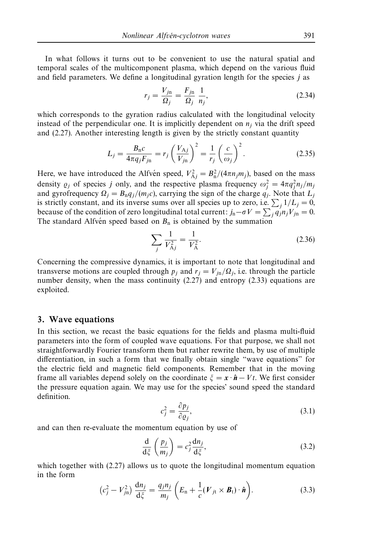In what follows it turns out to be convenient to use the natural spatial and temporal scales of the multicomponent plasma, which depend on the various fluid and field parameters. We define a longitudinal gyration length for the species *j* as

$$
r_j = \frac{V_{j\text{n}}}{\Omega_j} = \frac{F_{j\text{n}}}{\Omega_j} \frac{1}{n_j},\tag{2.34}
$$

which corresponds to the gyration radius calculated with the longitudinal velocity instead of the perpendicular one. It is implicitly dependent on  $n_i$  via the drift speed and (2.27). Another interesting length is given by the strictly constant quantity

$$
L_j = \frac{B_n c}{4\pi q_j F_{j\text{n}}} = r_j \left(\frac{V_{\text{A}j}}{V_{j\text{n}}}\right)^2 = \frac{1}{r_j} \left(\frac{c}{\omega_j}\right)^2. \tag{2.35}
$$

Here, we have introduced the Alfvén speed,  $V_{\text{A}j}^2 = B_{\text{n}}^2/(4\pi n_j m_j)$ , based on the mass density  $g_j$  of species *j* only, and the respective plasma frequency  $\omega_j^2 = 4\pi q_j^2 n_j/m_j$ and gyrofrequency  $\Omega_j = B_n q_j/(m_j c)$ , carrying the sign of the charge  $q_j$ . Note that  $L_j$ is strictly constant, and its inverse sums over all species up to zero, i.e.  $\sum_j 1/L_j = 0$ , because of the condition of zero longitudinal total current:  $j_n - \sigma V = \sum_j q_j n_j V_{jn} = 0$ . The standard Alfven speed based on  $B_n$  is obtained by the summation

$$
\sum_{j} \frac{1}{V_{\rm Aj}^2} = \frac{1}{V_{\rm A}^2}.
$$
\n(2.36)

Concerning the compressive dynamics, it is important to note that longitudinal and transverse motions are coupled through  $p_j$  and  $r_j = V_{jn}/\Omega_j$ , i.e. through the particle number density, when the mass continuity (2.27) and entropy (2.33) equations are exploited.

## *3. Wave equations*

In this section, we recast the basic equations for the fields and plasma multi-fluid parameters into the form of coupled wave equations. For that purpose, we shall not straightforwardly Fourier transform them but rather rewrite them, by use of multiple differentiation, in such a form that we finally obtain single "wave equations" for the electric field and magnetic field components. Remember that in the moving frame all variables depend solely on the coordinate  $\zeta = x \cdot \hat{n} - Vt$ . We first consider the pressure equation again. We may use for the species' sound speed the standard definition.

$$
c_j^2 = \frac{\partial p_j}{\partial \varrho_j},\tag{3.1}
$$

and can then re-evaluate the momentum equation by use of

$$
\frac{\mathrm{d}}{\mathrm{d}\xi} \left( \frac{p_j}{m_j} \right) = c_j^2 \frac{\mathrm{d} n_j}{\mathrm{d}\xi},\tag{3.2}
$$

which together with  $(2.27)$  allows us to quote the longitudinal momentum equation in the form

$$
\left(c_j^2 - V_{jn}^2\right) \frac{\mathrm{d}n_j}{\mathrm{d}\xi} = \frac{q_j n_j}{m_j} \left(E_\mathrm{n} + \frac{1}{c} (V_{j\mathrm{t}} \times B_\mathrm{t}) \cdot \hat{\boldsymbol{n}}\right). \tag{3.3}
$$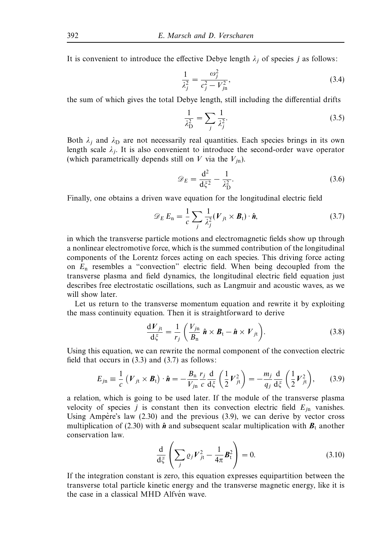It is convenient to introduce the effective Debye length  $\lambda_i$  of species *j* as follows:

$$
\frac{1}{\lambda_j^2} = \frac{\omega_j^2}{c_j^2 - V_{j\mathrm{n}}^2},\tag{3.4}
$$

the sum of which gives the total Debye length, still including the differential drifts

$$
\frac{1}{\lambda_{\rm D}^2} = \sum_j \frac{1}{\lambda_j^2}.\tag{3.5}
$$

Both  $\lambda_j$  and  $\lambda_D$  are not necessarily real quantities. Each species brings in its own length scale  $\lambda_i$ . It is also convenient to introduce the second-order wave operator (which parametrically depends still on *V* via the  $V_{in}$ ).

$$
\mathcal{D}_E = \frac{\mathrm{d}^2}{\mathrm{d}\xi^2} - \frac{1}{\lambda_D^2}.\tag{3.6}
$$

Finally, one obtains a driven wave equation for the longitudinal electric field

$$
\mathscr{D}_E E_n = \frac{1}{c} \sum_j \frac{1}{\lambda_j^2} (V_{jt} \times \boldsymbol{B}_t) \cdot \hat{\boldsymbol{n}},
$$
\n(3.7)

in which the transverse particle motions and electromagnetic fields show up through a nonlinear electromotive force, which is the summed contribution of the longitudinal components of the Lorentz forces acting on each species. This driving force acting on *E*<sup>n</sup> resembles a "convection" electric field. When being decoupled from the transverse plasma and field dynamics, the longitudinal electric field equation just describes free electrostatic oscillations, such as Langmuir and acoustic waves, as we will show later.

Let us return to the transverse momentum equation and rewrite it by exploiting the mass continuity equation. Then it is straightforward to derive

$$
\frac{\mathrm{d}V_{jt}}{\mathrm{d}\xi} = \frac{1}{r_j} \left( \frac{V_{jn}}{B_n} \hat{\mathbf{n}} \times \mathbf{B}_t - \hat{\mathbf{n}} \times V_{jt} \right). \tag{3.8}
$$

Using this equation, we can rewrite the normal component of the convection electric field that occurs in (3.3) and (3.7) as follows:

$$
E_{j\mathrm{n}} \equiv \frac{1}{c} \left( V_{j\mathrm{t}} \times \boldsymbol{B}_{\mathrm{t}} \right) \cdot \hat{\boldsymbol{n}} = -\frac{B_{\mathrm{n}}}{V_{j\mathrm{n}}} \frac{r_j}{c} \frac{\mathrm{d}}{\mathrm{d}\xi} \left( \frac{1}{2} V_{j\mathrm{t}}^2 \right) = -\frac{m_j}{q_j} \frac{\mathrm{d}}{\mathrm{d}\xi} \left( \frac{1}{2} V_{j\mathrm{t}}^2 \right), \qquad (3.9)
$$

a relation, which is going to be used later. If the module of the transverse plasma velocity of species  $j$  is constant then its convection electric field  $E_{jn}$  vanishes. Using Ampère's law  $(2.30)$  and the previous  $(3.9)$ , we can derive by vector cross multiplication of (2.30) with  $\hat{n}$  and subsequent scalar multiplication with  $B_t$  another conservation law.

$$
\frac{\mathrm{d}}{\mathrm{d}\zeta} \left( \sum_{j} \varrho_{j} \boldsymbol{V}_{jt}^{2} - \frac{1}{4\pi} \boldsymbol{B}_{t}^{2} \right) = 0. \tag{3.10}
$$

If the integration constant is zero, this equation expresses equipartition between the transverse total particle kinetic energy and the transverse magnetic energy, like it is the case in a classical MHD Alfven wave.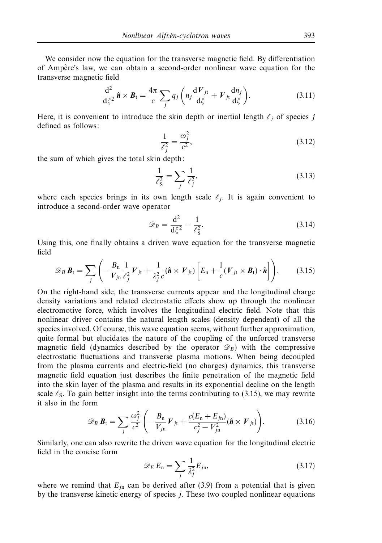We consider now the equation for the transverse magnetic field. By differentiation of Ampere's law, we can obtain a second-order nonlinear wave equation for the ` transverse magnetic field

$$
\frac{\mathrm{d}^2}{\mathrm{d}\xi^2} \hat{\boldsymbol{n}} \times \boldsymbol{B}_t = \frac{4\pi}{c} \sum_j q_j \left( n_j \frac{\mathrm{d}V_{jt}}{\mathrm{d}\xi} + V_{jt} \frac{\mathrm{d}n_j}{\mathrm{d}\xi} \right). \tag{3.11}
$$

Here, it is convenient to introduce the skin depth or inertial length  *<sup>j</sup>* of species *j* defined as follows:

$$
\frac{1}{\ell_j^2} = \frac{\omega_j^2}{c^2},\tag{3.12}
$$

the sum of which gives the total skin depth:

$$
\frac{1}{\ell_S^2} = \sum_j \frac{1}{\ell_j^2},\tag{3.13}
$$

where each species brings in its own length scale  $\ell_j$ . It is again convenient to introduce a second-order wave operator

$$
\mathcal{D}_B = \frac{\mathrm{d}^2}{\mathrm{d}\xi^2} - \frac{1}{\ell_S^2}.\tag{3.14}
$$

Using this, one finally obtains a driven wave equation for the transverse magnetic field

$$
\mathscr{D}_B \mathbf{B}_t = \sum_j \left( -\frac{B_n}{V_{j\mathrm{n}}} \frac{1}{\ell_j^2} \mathbf{V}_{j\mathrm{t}} + \frac{1}{\lambda_j^2 c} (\hat{\mathbf{n}} \times \mathbf{V}_{j\mathrm{t}}) \left[ E_n + \frac{1}{c} (\mathbf{V}_{j\mathrm{t}} \times \mathbf{B}_t) \cdot \hat{\mathbf{n}} \right] \right). \tag{3.15}
$$

On the right-hand side, the transverse currents appear and the longitudinal charge density variations and related electrostatic effects show up through the nonlinear electromotive force, which involves the longitudinal electric field. Note that this nonlinear driver contains the natural length scales (density dependent) of all the species involved. Of course, this wave equation seems, without further approximation, quite formal but elucidates the nature of the coupling of the unforced transverse magnetic field (dynamics described by the operator  $\mathcal{D}_B$ ) with the compressive electrostatic fluctuations and transverse plasma motions. When being decoupled from the plasma currents and electric-field (no charges) dynamics, this transverse magnetic field equation just describes the finite penetration of the magnetic field into the skin layer of the plasma and results in its exponential decline on the length scale  $\ell_s$ . To gain better insight into the terms contributing to (3.15), we may rewrite it also in the form

$$
\mathscr{D}_B \mathbf{B}_t = \sum_j \frac{\omega_j^2}{c^2} \left( -\frac{B_n}{V_{jn}} V_{jt} + \frac{c(E_n + E_{jn})}{c_j^2 - V_{jn}^2} (\hat{\mathbf{n}} \times V_{jt}) \right). \tag{3.16}
$$

Similarly, one can also rewrite the driven wave equation for the longitudinal electric field in the concise form

$$
\mathscr{D}_E E_n = \sum_j \frac{1}{\lambda_j^2} E_{jn},\tag{3.17}
$$

where we remind that  $E_{jn}$  can be derived after (3.9) from a potential that is given by the transverse kinetic energy of species *j*. These two coupled nonlinear equations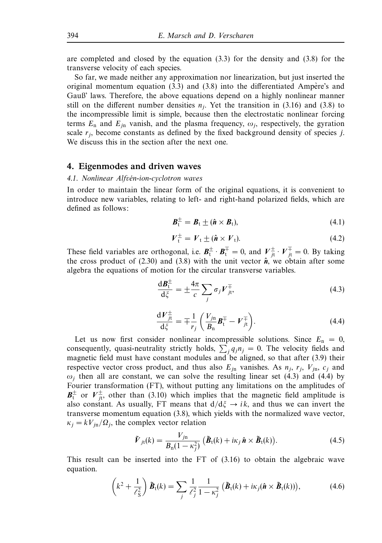are completed and closed by the equation (3.3) for the density and (3.8) for the transverse velocity of each species.

So far, we made neither any approximation nor linearization, but just inserted the original momentum equation  $(3.3)$  and  $(3.8)$  into the differentiated Ampère's and Gauß' laws. Therefore, the above equations depend on a highly nonlinear manner still on the different number densities  $n_i$ . Yet the transition in (3.16) and (3.8) to the incompressible limit is simple, because then the electrostatic nonlinear forcing terms  $E_n$  and  $E_{in}$  vanish, and the plasma frequency,  $\omega_i$ , respectively, the gyration scale  $r_j$ , become constants as defined by the fixed background density of species  $j$ . We discuss this in the section after the next one.

## *4. Eigenmodes and driven waves*

#### 4.1. Nonlinear Alfvén-ion-cyclotron waves

In order to maintain the linear form of the original equations, it is convenient to introduce new variables, relating to left- and right-hand polarized fields, which are defined as follows:

$$
\boldsymbol{B}_{t}^{\pm} = \boldsymbol{B}_{t} \pm (\hat{\boldsymbol{n}} \times \boldsymbol{B}_{t}), \qquad (4.1)
$$

$$
V_{t}^{\pm} = V_{t} \pm (\hat{\boldsymbol{n}} \times V_{t}). \tag{4.2}
$$

These field variables are orthogonal, i.e.  $B_t^{\pm} \cdot B_t^+ = 0$ , and  $V_{jt}^{\pm} \cdot V_{jt}^+ = 0$ . By taking the cross product of  $(2.30)$  and  $(3.8)$  with the unit vector  $\hat{\boldsymbol{n}}$ , we obtain after some algebra the equations of motion for the circular transverse variables.

$$
\frac{\mathrm{d}B_{\mathrm{t}}^{\pm}}{\mathrm{d}\zeta} = \pm \frac{4\pi}{c} \sum_{j} \sigma_{j} V_{j\mathrm{t}}^{\mp},\tag{4.3}
$$

$$
\frac{\mathrm{d}V_{jt}^{\pm}}{\mathrm{d}\zeta} = \mp \frac{1}{r_j} \left( \frac{V_{jn}}{B_n} \boldsymbol{B}_t^{\mp} - \boldsymbol{V}_{jt}^{\mp} \right). \tag{4.4}
$$

Let us now first consider nonlinear incompressible solutions. Since  $E_n = 0$ , consequently, quasi-neutrality strictly holds,  $\sum_{j} q_{j} n_{j} = 0$ . The velocity fields and magnetic field must have constant modules and be aligned, so that after (3.9) their respective vector cross product, and thus also  $E_{jn}$  vanishes. As  $n_j$ ,  $r_j$ ,  $V_{jn}$ ,  $c_j$  and  $\omega_i$  then all are constant, we can solve the resulting linear set (4.3) and (4.4) by Fourier transformation (FT), without putting any limitations on the amplitudes of  $B_t^{\pm}$  or  $V_{jt}^{\pm}$ , other than (3.10) which implies that the magnetic field amplitude is also constant. As usually, FT means that d*/*d*ξ* → *i k*, and thus we can invert the transverse momentum equation (3.8), which yields with the normalized wave vector,  $\kappa_i = kV_{in}/\Omega_i$ , the complex vector relation

$$
\tilde{V}_{jt}(k) = \frac{V_{jn}}{B_n(1 - \kappa_j^2)} \left( \tilde{B}_t(k) + i\kappa_j \hat{\boldsymbol{n}} \times \tilde{B}_t(k) \right).
$$
\n(4.5)

This result can be inserted into the FT of (3.16) to obtain the algebraic wave equation.

$$
\left(k^2 + \frac{1}{\ell_S^2}\right)\tilde{\boldsymbol{B}}_t(k) = \sum_j \frac{1}{\ell_j^2} \frac{1}{1 - \kappa_j^2} \left(\tilde{\boldsymbol{B}}_t(k) + i\kappa_j(\hat{\boldsymbol{n}} \times \tilde{\boldsymbol{B}}_t(k))\right),\tag{4.6}
$$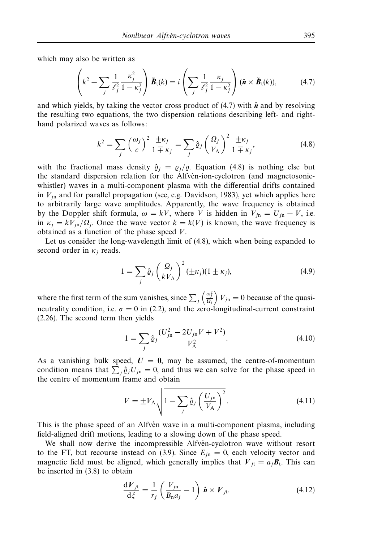which may also be written as

$$
\left(k^2 - \sum_j \frac{1}{\ell_j^2} \frac{\kappa_j^2}{1 - \kappa_j^2}\right) \tilde{\boldsymbol{B}}_t(k) = i \left(\sum_j \frac{1}{\ell_j^2} \frac{\kappa_j}{1 - \kappa_j^2}\right) (\hat{\boldsymbol{n}} \times \tilde{\boldsymbol{B}}_t(k)),\tag{4.7}
$$

and which yields, by taking the vector cross product of  $(4.7)$  with  $\hat{\boldsymbol{n}}$  and by resolving the resulting two equations, the two dispersion relations describing left- and righthand polarized waves as follows:

$$
k^{2} = \sum_{j} \left(\frac{\omega_{j}}{c}\right)^{2} \frac{\pm \kappa_{j}}{1 \mp \kappa_{j}} = \sum_{j} \hat{\varrho}_{j} \left(\frac{\Omega_{j}}{V_{A}}\right)^{2} \frac{\pm \kappa_{j}}{1 \mp \kappa_{j}},
$$
(4.8)

with the fractional mass density  $\hat{\varrho}_i = \varrho_i/\varrho$ . Equation (4.8) is nothing else but the standard dispersion relation for the Alfvén-ion-cyclotron (and magnetosonicwhistler) waves in a multi-component plasma with the differential drifts contained in  $V_{in}$  and for parallel propagation (see, e.g. Davidson, 1983), yet which applies here to arbitrarily large wave amplitudes. Apparently, the wave frequency is obtained by the Doppler shift formula,  $\omega = kV$ , where *V* is hidden in  $V_{in} = U_{in} - V$ , i.e. in  $\kappa_i = kV_{in}/\Omega_i$ . Once the wave vector  $k = k(V)$  is known, the wave frequency is obtained as a function of the phase speed *V*.

Let us consider the long-wavelength limit of (4.8), which when being expanded to second order in *κj* reads.

$$
1 = \sum_{j} \hat{\varrho}_{j} \left(\frac{\Omega_{j}}{k V_{\mathcal{A}}}\right)^{2} (\pm \kappa_{j})(1 \pm \kappa_{j}), \tag{4.9}
$$

where the first term of the sum vanishes, since  $\sum_j \left(\frac{\omega_j^2}{\Omega_j}\right) V_{j\text{n}} = 0$  because of the quasineutrality condition, i.e.  $\sigma = 0$  in (2.2), and the zero-longitudinal-current constraint (2.26). The second term then yields

$$
1 = \sum_{j} \hat{\varrho}_{j} \frac{(U_{j\mathrm{n}}^{2} - 2U_{j\mathrm{n}}V + V^{2})}{V_{\mathrm{A}}^{2}}.
$$
\n(4.10)

As a vanishing bulk speed,  $U = 0$ , may be assumed, the centre-of-momentum condition means that  $\sum_{j} \hat{\varrho}_{j} U_{j n} = 0$ , and thus we can solve for the phase speed in the centre of momentum frame and obtain

$$
V = \pm V_{\rm A} \sqrt{1 - \sum_{j} \hat{\varrho}_{j} \left(\frac{U_{j\rm n}}{V_{\rm A}}\right)^{2}}.
$$
\n(4.11)

This is the phase speed of an Alfven wave in a multi-component plasma, including field-aligned drift motions, leading to a slowing down of the phase speed.

We shall now derive the incompressible Alfven-cyclotron wave without resort to the FT, but recourse instead on (3.9). Since  $E_{in} = 0$ , each velocity vector and magnetic field must be aligned, which generally implies that  $V_{it} = a_j B_t$ . This can be inserted in (3.8) to obtain

$$
\frac{\mathrm{d}V_{jt}}{\mathrm{d}\xi} = \frac{1}{r_j} \left( \frac{V_{jn}}{B_{n} a_j} - 1 \right) \hat{\boldsymbol{n}} \times V_{jt}.
$$
 (4.12)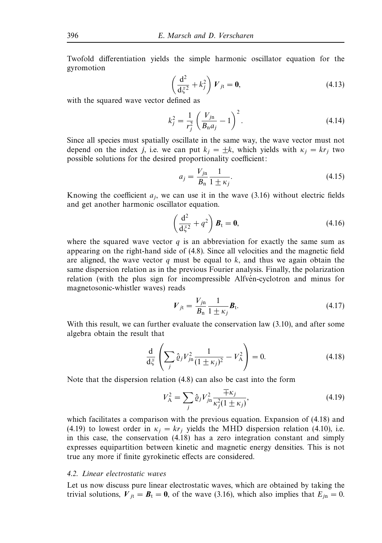Twofold differentiation yields the simple harmonic oscillator equation for the gyromotion

$$
\left(\frac{\mathrm{d}^2}{\mathrm{d}\xi^2} + k_j^2\right) V_{j\text{t}} = \mathbf{0},\tag{4.13}
$$

with the squared wave vector defined as

$$
k_j^2 = \frac{1}{r_j^2} \left( \frac{V_{j\mathrm{n}}}{B_{\mathrm{n}} a_j} - 1 \right)^2.
$$
 (4.14)

Since all species must spatially oscillate in the same way, the wave vector must not depend on the index *j*, i.e. we can put  $k_j = \pm k$ , which yields with  $\kappa_j = kr_j$  two possible solutions for the desired proportionality coefficient:

$$
a_j = \frac{V_{j_0}}{B_n} \frac{1}{1 \pm \kappa_j}.
$$
\n(4.15)

Knowing the coefficient  $a_j$ , we can use it in the wave  $(3.16)$  without electric fields and get another harmonic oscillator equation.

$$
\left(\frac{\mathrm{d}^2}{\mathrm{d}\xi^2} + q^2\right) \boldsymbol{B}_t = \mathbf{0},\tag{4.16}
$$

where the squared wave vector *q* is an abbreviation for exactly the same sum as appearing on the right-hand side of (4.8). Since all velocities and the magnetic field are aligned, the wave vector *q* must be equal to *k*, and thus we again obtain the same dispersion relation as in the previous Fourier analysis. Finally, the polarization relation (with the plus sign for incompressible Alfven-cyclotron and minus for magnetosonic-whistler waves) reads

$$
V_{jt} = \frac{V_{jn}}{B_n} \frac{1}{1 \pm \kappa_j} B_t.
$$
 (4.17)

With this result, we can further evaluate the conservation law (3.10), and after some algebra obtain the result that

$$
\frac{d}{d\xi} \left( \sum_{j} \hat{\varrho}_{j} V_{jn}^{2} \frac{1}{(1 \pm \kappa_{j})^{2}} - V_{A}^{2} \right) = 0.
$$
 (4.18)

Note that the dispersion relation (4.8) can also be cast into the form

$$
V_{\rm A}^2 = \sum_{j} \hat{\varrho}_{j} V_{j\rm n}^2 \frac{\mp \kappa_{j}}{\kappa_{j}^2 (1 \pm \kappa_{j})},\tag{4.19}
$$

which facilitates a comparison with the previous equation. Expansion of (4.18) and (4.19) to lowest order in  $\kappa_i = kr_j$  yields the MHD dispersion relation (4.10), i.e. in this case, the conservation (4.18) has a zero integration constant and simply expresses equipartition between kinetic and magnetic energy densities. This is not true any more if finite gyrokinetic effects are considered.

#### 4.2. Linear electrostatic waves

Let us now discuss pure linear electrostatic waves, which are obtained by taking the trivial solutions,  $V_{it} = B_t = 0$ , of the wave (3.16), which also implies that  $E_{jn} = 0$ .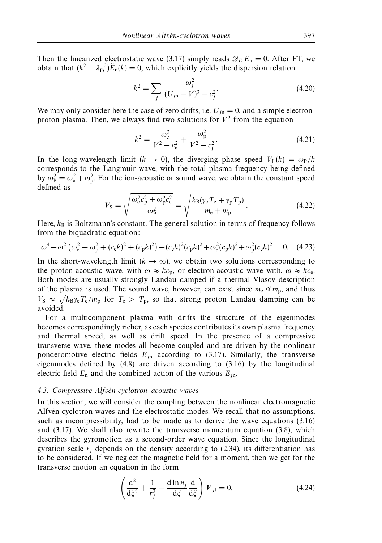Then the linearized electrostatic wave (3.17) simply reads  $\mathcal{D}_E E_n = 0$ . After FT, we obtain that  $(k^2 + \lambda_D^{-2})\tilde{E}_n(k) = 0$ , which explicitly yields the dispersion relation

$$
k^{2} = \sum_{j} \frac{\omega_{j}^{2}}{(U_{j\text{n}} - V)^{2} - c_{j}^{2}}.
$$
\n(4.20)

We may only consider here the case of zero drifts, i.e.  $U_{in} = 0$ , and a simple electronproton plasma. Then, we always find two solutions for  $V^2$  from the equation

$$
k^{2} = \frac{\omega_{e}^{2}}{V^{2} - c_{e}^{2}} + \frac{\omega_{p}^{2}}{V^{2} - c_{p}^{2}}.
$$
\n(4.21)

In the long-wavelength limit ( $k \rightarrow 0$ ), the diverging phase speed  $V_L(k) = \omega_P/k$ corresponds to the Langmuir wave, with the total plasma frequency being defined by  $\omega_P^2 = \omega_e^2 + \omega_p^2$ . For the ion-acoustic or sound wave, we obtain the constant speed defined as

$$
V_{\rm S} = \sqrt{\frac{\omega_{\rm e}^2 c_{\rm p}^2 + \omega_{\rm p}^2 c_{\rm e}^2}{\omega_{\rm p}^2}} = \sqrt{\frac{k_{\rm B} (\gamma_{\rm e} T_{\rm e} + \gamma_{\rm p} T_{\rm p})}{m_{\rm e} + m_{\rm p}}}.
$$
(4.22)

Here,  $k_B$  is Boltzmann's constant. The general solution in terms of frequency follows from the biquadratic equation:

$$
\omega^4 - \omega^2 \left( \omega_e^2 + \omega_p^2 + (c_e k)^2 + (c_p k)^2 \right) + (c_e k)^2 (c_p k)^2 + \omega_e^2 (c_p k)^2 + \omega_p^2 (c_e k)^2 = 0. \quad (4.23)
$$

In the short-wavelength limit  $(k \to \infty)$ , we obtain two solutions corresponding to the proton-acoustic wave, with  $\omega \approx k c_p$ , or electron-acoustic wave with,  $\omega \approx k c_e$ . Both modes are usually strongly Landau damped if a thermal Vlasov description of the plasma is used. The sound wave, however, can exist since  $m_e \ll m_p$ , and thus  $V_S \approx \sqrt{k_B \gamma_e T_e/m_p}$  for  $T_e > T_p$ , so that strong proton Landau damping can be avoided.

For a multicomponent plasma with drifts the structure of the eigenmodes becomes correspondingly richer, as each species contributes its own plasma frequency and thermal speed, as well as drift speed. In the presence of a compressive transverse wave, these modes all become coupled and are driven by the nonlinear ponderomotive electric fields  $E_{in}$  according to (3.17). Similarly, the transverse eigenmodes defined by (4.8) are driven according to (3.16) by the longitudinal electric field  $E_n$  and the combined action of the various  $E_{jn}$ .

#### 4.3. Compressive Alfvén-cyclotron–acoustic waves

In this section, we will consider the coupling between the nonlinear electromagnetic Alfvén-cyclotron waves and the electrostatic modes. We recall that no assumptions, such as incompressibility, had to be made as to derive the wave equations (3.16) and (3.17). We shall also rewrite the transverse momentum equation (3.8), which describes the gyromotion as a second-order wave equation. Since the longitudinal gyration scale  $r_i$  depends on the density according to (2.34), its differentiation has to be considered. If we neglect the magnetic field for a moment, then we get for the transverse motion an equation in the form

$$
\left(\frac{\mathrm{d}^2}{\mathrm{d}\xi^2} + \frac{1}{r_j^2} - \frac{\mathrm{d}\ln n_j}{\mathrm{d}\xi} \frac{\mathrm{d}}{\mathrm{d}\xi}\right) V_{j\mathrm{t}} = 0. \tag{4.24}
$$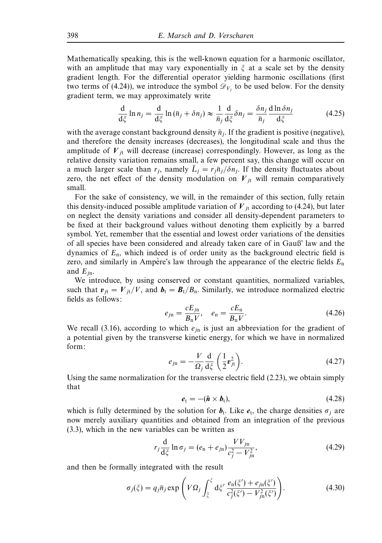Mathematically speaking, this is the well-known equation for a harmonic oscillator, with an amplitude that may vary exponentially in  $\xi$  at a scale set by the density gradient length. For the differential operator yielding harmonic oscillations (first two terms of (4.24)), we introduce the symbol  $\mathcal{D}_{V_i}$  to be used below. For the density gradient term, we may approximately write

$$
\frac{\mathrm{d}}{\mathrm{d}\xi}\ln n_j = \frac{\mathrm{d}}{\mathrm{d}\xi}\ln(\bar{n}_j + \delta n_j) \approx \frac{1}{\bar{n}_j}\frac{\mathrm{d}}{\mathrm{d}\xi}\delta n_j = \frac{\delta n_j}{\bar{n}_j}\frac{\mathrm{d}\ln \delta n_j}{\mathrm{d}\xi} \tag{4.25}
$$

with the average constant background density  $\bar{n}_i$ . If the gradient is positive (negative), and therefore the density increases (decreases), the longitudinal scale and thus the amplitude of  $V_{it}$  will decrease (increase) correspondingly. However, as long as the relative density variation remains small, a few percent say, this change will occur on a much larger scale than  $r_j$ , namely  $\bar{L}_j = r_j \bar{n}_j / \delta n_j$ . If the density fluctuates about zero, the net effect of the density modulation on  $V_{it}$  will remain comparatively small.

For the sake of consistency, we will, in the remainder of this section, fully retain this density-induced possible amplitude variation of  $V_{it}$  according to (4.24), but later on neglect the density variations and consider all density-dependent parameters to be fixed at their background values without denoting them explicitly by a barred symbol. Yet, remember that the essential and lowest order variations of the densities of all species have been considered and already taken care of in Gauß' law and the dynamics of *E*n, which indeed is of order unity as the background electric field is zero, and similarly in Ampère's law through the appearance of the electric fields  $E_n$ and  $E_{in}$ .

We introduce, by using conserved or constant quantities, normalized variables, such that  $v_{it} = V_{it}/V$ , and  $b_t = B_t/B_n$ . Similarly, we introduce normalized electric fields as follows:

$$
e_{j\text{n}} = \frac{cE_{j\text{n}}}{B_{\text{n}}V}, \quad e_{\text{n}} = \frac{cE_{\text{n}}}{B_{\text{n}}V}.
$$
 (4.26)

We recall (3.16), according to which  $e_{jn}$  is just an abbreviation for the gradient of a potential given by the transverse kinetic energy, for which we have in normalized form:

$$
e_{j\mathrm{n}} = -\frac{V}{\Omega_j} \frac{\mathrm{d}}{\mathrm{d}\xi} \left(\frac{1}{2} v_{j\mathrm{t}}^2\right). \tag{4.27}
$$

Using the same normalization for the transverse electric field (2.23), we obtain simply that

$$
e_{t} = -(\hat{\boldsymbol{n}} \times \boldsymbol{b}_{t}), \qquad (4.28)
$$

which is fully determined by the solution for  $b_t$ . Like  $e_t$ , the charge densities  $\sigma_i$  are now merely auxiliary quantities and obtained from an integration of the previous (3.3), which in the new variables can be written as

$$
r_j \frac{d}{d\xi} \ln \sigma_j = (e_n + e_{jn}) \frac{V V_{jn}}{c_j^2 - V_{jn}^2},
$$
\n(4.29)

and then be formally integrated with the result

$$
\sigma_j(\xi) = q_j \bar{n}_j \exp\left(V\Omega_j \int_{\bar{\xi}}^{\xi} d\xi' \frac{e_n(\xi') + e_{jn}(\xi')}{c_j^2(\xi') - V_{jn}^2(\xi')}\right).
$$
(4.30)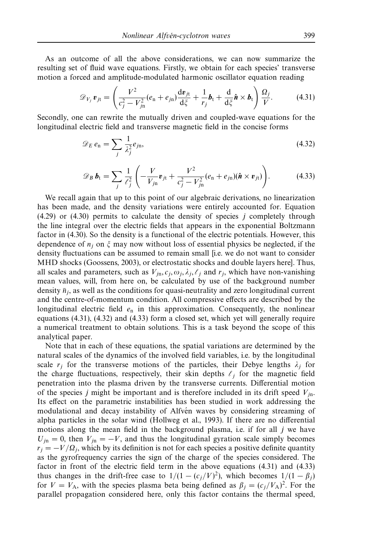As an outcome of all the above considerations, we can now summarize the resulting set of fluid wave equations. Firstly, we obtain for each species' transverse motion a forced and amplitude-modulated harmonic oscillator equation reading

$$
\mathscr{D}_{V_j} \mathbf{v}_{j\text{t}} = \left( \frac{V^2}{c_j^2 - V_{j\text{n}}^2} (e_\text{n} + e_{j\text{n}}) \frac{\mathrm{d} \mathbf{v}_{j\text{t}}}{\mathrm{d}\xi} + \frac{1}{r_j} \mathbf{b}_\text{t} + \frac{\mathrm{d}}{\mathrm{d}\xi} \hat{\mathbf{n}} \times \mathbf{b}_\text{t} \right) \frac{\Omega_j}{V} . \tag{4.31}
$$

Secondly, one can rewrite the mutually driven and coupled-wave equations for the longitudinal electric field and transverse magnetic field in the concise forms

$$
\mathscr{D}_E e_n = \sum_j \frac{1}{\lambda_j^2} e_{jn},\tag{4.32}
$$

$$
\mathscr{D}_B \, \bm{b}_t = \sum_j \frac{1}{\ell_j^2} \left( -\frac{V}{V_{jn}} \bm{v}_{jt} + \frac{V^2}{c_j^2 - V_{jn}^2} (e_n + e_{jn}) (\hat{\bm{n}} \times \bm{v}_{jt}) \right). \tag{4.33}
$$

We recall again that up to this point of our algebraic derivations, no linearization has been made, and the density variations were entirely accounted for. Equation (4.29) or (4.30) permits to calculate the density of species *j* completely through the line integral over the electric fields that appears in the exponential Boltzmann factor in (4.30). So the density is a functional of the electric potentials. However, this dependence of  $n_i$  on  $\zeta$  may now without loss of essential physics be neglected, if the density fluctuations can be assumed to remain small [i.e. we do not want to consider MHD shocks (Goossens, 2003), or electrostatic shocks and double layers here]. Thus, all scales and parameters, such as  $V_{jn}$ ,  $c_j$ ,  $\omega_j$ ,  $\lambda_j$ ,  $\ell_j$  and  $r_j$ , which have non-vanishing mean values, will, from here on, be calculated by use of the background number density  $\bar{n}_i$ , as well as the conditions for quasi-neutrality and zero longitudinal current and the centre-of-momentum condition. All compressive effects are described by the longitudinal electric field *e*<sup>n</sup> in this approximation. Consequently, the nonlinear equations (4.31), (4.32) and (4.33) form a closed set, which yet will generally require a numerical treatment to obtain solutions. This is a task beyond the scope of this analytical paper.

Note that in each of these equations, the spatial variations are determined by the natural scales of the dynamics of the involved field variables, i.e. by the longitudinal scale  $r_i$  for the transverse motions of the particles, their Debye lengths  $\lambda_i$  for the charge fluctuations, respectively, their skin depths  $\ell_j$  for the magnetic field penetration into the plasma driven by the transverse currents. Differential motion of the species *j* might be important and is therefore included in its drift speed  $V_{in}$ . Its effect on the parametric instabilities has been studied in work addressing the modulational and decay instability of Alfven waves by considering streaming of alpha particles in the solar wind (Hollweg et al., 1993). If there are no differential motions along the mean field in the background plasma, i.e. if for all *j* we have  $U_{in} = 0$ , then  $V_{in} = -V$ , and thus the longitudinal gyration scale simply becomes  $r_j = -V/\Omega_j$ , which by its definition is not for each species a positive definite quantity as the gyrofrequency carries the sign of the charge of the species considered. The factor in front of the electric field term in the above equations (4.31) and (4.33) thus changes in the drift-free case to  $1/(1 - (c_j/V)^2)$ , which becomes  $1/(1 - \beta_j)$ for  $V = V_A$ , with the species plasma beta being defined as  $\beta_j = (c_j/V_A)^2$ . For the parallel propagation considered here, only this factor contains the thermal speed,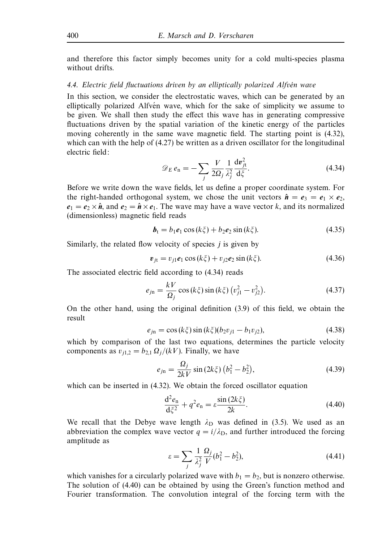and therefore this factor simply becomes unity for a cold multi-species plasma without drifts

## 4.4. Electric field fluctuations driven by an elliptically polarized Alfvén wave

In this section, we consider the electrostatic waves, which can be generated by an elliptically polarized Alfvén wave, which for the sake of simplicity we assume to be given. We shall then study the effect this wave has in generating compressive fluctuations driven by the spatial variation of the kinetic energy of the particles moving coherently in the same wave magnetic field. The starting point is (4.32), which can with the help of (4.27) be written as a driven oscillator for the longitudinal electric field:

$$
\mathcal{D}_E e_n = -\sum_j \frac{V}{2\Omega_j} \frac{1}{\lambda_j^2} \frac{d\mathbf{v}_{jt}^2}{d\xi}.
$$
\n(4.34)

Before we write down the wave fields, let us define a proper coordinate system. For the right-handed orthogonal system, we chose the unit vectors  $\hat{\mathbf{n}} = e_3 = e_1 \times e_2$ ,  $e_1 = e_2 \times \hat{\boldsymbol{n}}$ , and  $e_2 = \hat{\boldsymbol{n}} \times e_1$ . The wave may have a wave vector *k*, and its normalized (dimensionless) magnetic field reads

$$
\boldsymbol{b}_t = b_1 \boldsymbol{e}_1 \cos(k \zeta) + b_2 \boldsymbol{e}_2 \sin(k \zeta). \tag{4.35}
$$

Similarly, the related flow velocity of species *j* is given by

$$
v_{jt} = v_{j1}e_1\cos(k\xi) + v_{j2}e_2\sin(k\xi). \tag{4.36}
$$

The associated electric field according to (4.34) reads

$$
e_{j\text{n}} = \frac{kV}{\Omega_j} \cos(k\xi) \sin(k\xi) (v_{j1}^2 - v_{j2}^2). \tag{4.37}
$$

On the other hand, using the original definition (3.9) of this field, we obtain the result

$$
e_{j\text{n}} = \cos(k\xi)\sin(k\xi)(b_2v_{j1} - b_1v_{j2}),\tag{4.38}
$$

which by comparison of the last two equations, determines the particle velocity components as  $v_{i1,2} = b_{2,1} \Omega_i / (kV)$ . Finally, we have

$$
e_{j\text{n}} = \frac{\Omega_j}{2kV} \sin\left(2k\xi\right) \left(b_1^2 - b_2^2\right),\tag{4.39}
$$

which can be inserted in (4.32). We obtain the forced oscillator equation

$$
\frac{\mathrm{d}^2 e_{\mathbf{n}}}{\mathrm{d}\xi^2} + q^2 e_{\mathbf{n}} = \varepsilon \frac{\sin(2k\xi)}{2k}.
$$
\n(4.40)

We recall that the Debye wave length  $\lambda_D$  was defined in (3.5). We used as an abbreviation the complex wave vector  $q = i/\lambda_D$ , and further introduced the forcing amplitude as

$$
\varepsilon = \sum_{j} \frac{1}{\lambda_j^2} \frac{\Omega_j}{V} (b_1^2 - b_2^2),\tag{4.41}
$$

which vanishes for a circularly polarized wave with  $b_1 = b_2$ , but is nonzero otherwise. The solution of (4.40) can be obtained by using the Green's function method and Fourier transformation. The convolution integral of the forcing term with the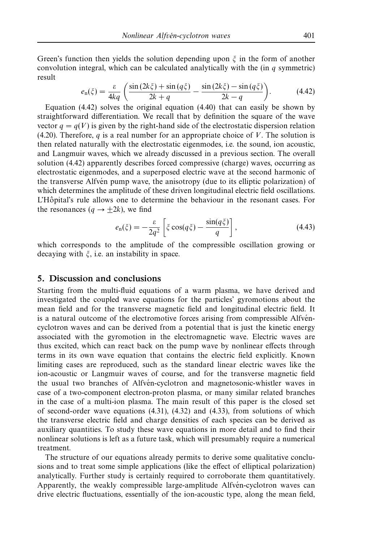Green's function then yields the solution depending upon *ξ* in the form of another convolution integral, which can be calculated analytically with the (in *q* symmetric) result

$$
e_{n}(\xi) = \frac{\varepsilon}{4kq} \left( \frac{\sin(2k\xi) + \sin(q\xi)}{2k+q} - \frac{\sin(2k\xi) - \sin(q\xi)}{2k-q} \right). \tag{4.42}
$$

Equation  $(4.42)$  solves the original equation  $(4.40)$  that can easily be shown by straightforward differentiation. We recall that by definition the square of the wave vector  $q = q(V)$  is given by the right-hand side of the electrostatic dispersion relation (4.20). Therefore, *q* is a real number for an appropriate choice of *V*. The solution is then related naturally with the electrostatic eigenmodes, i.e. the sound, ion acoustic, and Langmuir waves, which we already discussed in a previous section. The overall solution (4.42) apparently describes forced compressive (charge) waves, occurring as electrostatic eigenmodes, and a superposed electric wave at the second harmonic of the transverse Alfvén pump wave, the anisotropy (due to its elliptic polarization) of which determines the amplitude of these driven longitudinal electric field oscillations. L'Hôpital's rule allows one to determine the behaviour in the resonant cases. For the resonances  $(q \rightarrow +2k)$ , we find

$$
e_{n}(\xi) = -\frac{\varepsilon}{2q^{2}} \left[ \xi \cos(q\xi) - \frac{\sin(q\xi)}{q} \right],
$$
 (4.43)

which corresponds to the amplitude of the compressible oscillation growing or decaying with *ξ*, i.e. an instability in space.

## *5. Discussion and conclusions*

Starting from the multi-fluid equations of a warm plasma, we have derived and investigated the coupled wave equations for the particles' gyromotions about the mean field and for the transverse magnetic field and longitudinal electric field. It is a natural outcome of the electromotive forces arising from compressible Alfvencyclotron waves and can be derived from a potential that is just the kinetic energy associated with the gyromotion in the electromagnetic wave. Electric waves are thus excited, which can react back on the pump wave by nonlinear effects through terms in its own wave equation that contains the electric field explicitly. Known limiting cases are reproduced, such as the standard linear electric waves like the ion-acoustic or Langmuir waves of course, and for the transverse magnetic field the usual two branches of Alfvén-cyclotron and magnetosonic-whistler waves in case of a two-component electron-proton plasma, or many similar related branches in the case of a multi-ion plasma. The main result of this paper is the closed set of second-order wave equations  $(4.31)$ ,  $(4.32)$  and  $(4.33)$ , from solutions of which the transverse electric field and charge densities of each species can be derived as auxiliary quantities. To study these wave equations in more detail and to find their nonlinear solutions is left as a future task, which will presumably require a numerical treatment.

The structure of our equations already permits to derive some qualitative conclusions and to treat some simple applications (like the effect of elliptical polarization) analytically. Further study is certainly required to corroborate them quantitatively. Apparently, the weakly compressible large-amplitude Alfvén-cyclotron waves can drive electric fluctuations, essentially of the ion-acoustic type, along the mean field,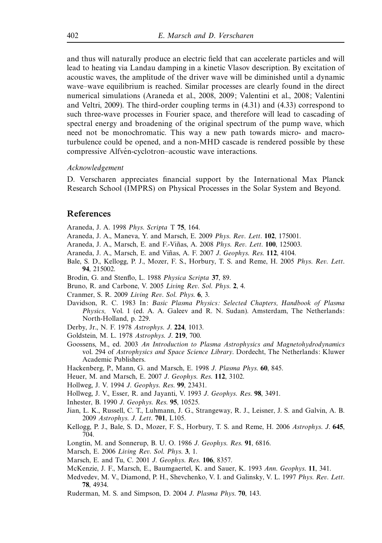and thus will naturally produce an electric field that can accelerate particles and will lead to heating via Landau damping in a kinetic Vlasov description. By excitation of acoustic waves, the amplitude of the driver wave will be diminished until a dynamic wave–wave equilibrium is reached. Similar processes are clearly found in the direct numerical simulations (Araneda et al., 2008, 2009; Valentini et al., 2008; Valentini and Veltri, 2009). The third-order coupling terms in (4.31) and (4.33) correspond to such three-wave processes in Fourier space, and therefore will lead to cascading of spectral energy and broadening of the original spectrum of the pump wave, which need not be monochromatic. This way a new path towards micro- and macroturbulence could be opened, and a non-MHD cascade is rendered possible by these compressive Alfvén-cyclotron–acoustic wave interactions.

## Acknowledgement

D. Verscharen appreciates financial support by the International Max Planck Research School (IMPRS) on Physical Processes in the Solar System and Beyond.

# *References*

Araneda, J. A. 1998 Phys. Scripta T **75**, 164.

- Araneda, J. A., Maneva, Y. and Marsch, E. 2009 Phys. Rev. Lett. **102**, 175001.
- Araneda, J. A., Marsch, E. and F.-Vinas, A. 2008 ˜ Phys. Rev. Lett. **100**, 125003.
- Araneda, J. A., Marsch, E. and Viñas, A. F. 2007 *J. Geophys. Res.* 112, 4104.
- Bale, S. D., Kellogg, P. J., Mozer, F. S., Horbury, T. S. and Reme, H. 2005 Phys. Rev. Lett. **94**, 215002.
- Brodin, G. and Stenflo, L. 1988 Physica Scripta **37**, 89.
- Bruno, R. and Carbone, V. 2005 Living Rev. Sol. Phys. **2**, 4.
- Cranmer, S. R. 2009 Living Rev. Sol. Phys. **6**, 3.
- Davidson, R. C. 1983 In: Basic Plasma Physics: Selected Chapters, Handbook of Plasma Physics, Vol. 1 (ed. A. A. Galeev and R. N. Sudan). Amsterdam, The Netherlands: North-Holland, p. 229.
- Derby, Jr., N. F. 1978 Astrophys. J. **224**, 1013.
- Goldstein, M. L. 1978 Astrophys. J. **219**, 700.
- Goossens, M., ed. 2003 An Introduction to Plasma Astrophysics and Magnetohydrodynamics vol. 294 of Astrophysics and Space Science Library. Dordecht, The Netherlands: Kluwer Academic Publishers.
- Hackenberg, P., Mann, G. and Marsch, E. 1998 J. Plasma Phys. **60**, 845.
- Heuer, M. and Marsch, E. 2007 J. Geophys. Res. **112**, 3102.
- Hollweg, J. V. 1994 J. Geophys. Res. **99**, 23431.
- Hollweg, J. V., Esser, R. and Jayanti, V. 1993 J. Geophys. Res. **98**, 3491.
- Inhester, B. 1990 J. Geophys. Res. **95**, 10525.
- Jian, L. K., Russell, C. T., Luhmann, J. G., Strangeway, R. J., Leisner, J. S. and Galvin, A. B. 2009 Astrophys. J. Lett. **701**, L105.
- Kellogg, P. J., Bale, S. D., Mozer, F. S., Horbury, T. S. and Reme, H. 2006 Astrophys. J. **645**, 704.
- Longtin, M. and Sonnerup, B. U. O. 1986 J. Geophys. Res. **91**, 6816.
- Marsch, E. 2006 Living Rev. Sol. Phys. **3**, 1.
- Marsch, E. and Tu, C. 2001 J. Geophys. Res. **106**, 8357.
- McKenzie, J. F., Marsch, E., Baumgaertel, K. and Sauer, K. 1993 Ann. Geophys. **11**, 341.
- Medvedev, M. V., Diamond, P. H., Shevchenko, V. I. and Galinsky, V. L. 1997 Phys. Rev. Lett. **78**, 4934.
- Ruderman, M. S. and Simpson, D. 2004 J. Plasma Phys. **70**, 143.